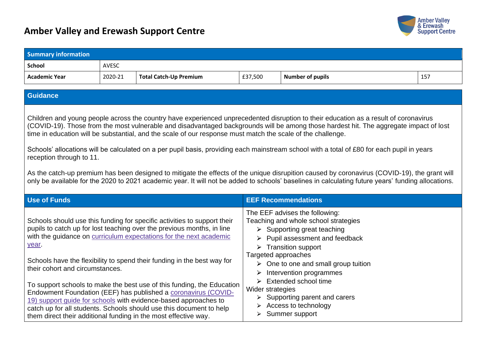## **Amber Valley and Erewash Support Centre**



| <b>Summary information</b>               |              |                                                                                                                                                                                                                                                                                                                                                                                                                                                                                                                                                                                                                                                              |                                         |                                                                                                                                                                                                                                                                                                                                                                                                                                                                                                                                                                                                                                                                                                                                    |     |
|------------------------------------------|--------------|--------------------------------------------------------------------------------------------------------------------------------------------------------------------------------------------------------------------------------------------------------------------------------------------------------------------------------------------------------------------------------------------------------------------------------------------------------------------------------------------------------------------------------------------------------------------------------------------------------------------------------------------------------------|-----------------------------------------|------------------------------------------------------------------------------------------------------------------------------------------------------------------------------------------------------------------------------------------------------------------------------------------------------------------------------------------------------------------------------------------------------------------------------------------------------------------------------------------------------------------------------------------------------------------------------------------------------------------------------------------------------------------------------------------------------------------------------------|-----|
| <b>School</b>                            | <b>AVESC</b> |                                                                                                                                                                                                                                                                                                                                                                                                                                                                                                                                                                                                                                                              |                                         |                                                                                                                                                                                                                                                                                                                                                                                                                                                                                                                                                                                                                                                                                                                                    |     |
| <b>Academic Year</b>                     | 2020-21      | <b>Total Catch-Up Premium</b>                                                                                                                                                                                                                                                                                                                                                                                                                                                                                                                                                                                                                                | £37,500                                 | <b>Number of pupils</b>                                                                                                                                                                                                                                                                                                                                                                                                                                                                                                                                                                                                                                                                                                            | 157 |
|                                          |              |                                                                                                                                                                                                                                                                                                                                                                                                                                                                                                                                                                                                                                                              |                                         |                                                                                                                                                                                                                                                                                                                                                                                                                                                                                                                                                                                                                                                                                                                                    |     |
| Guidance                                 |              |                                                                                                                                                                                                                                                                                                                                                                                                                                                                                                                                                                                                                                                              |                                         |                                                                                                                                                                                                                                                                                                                                                                                                                                                                                                                                                                                                                                                                                                                                    |     |
| reception through to 11.                 |              | time in education will be substantial, and the scale of our response must match the scale of the challenge.                                                                                                                                                                                                                                                                                                                                                                                                                                                                                                                                                  |                                         | Children and young people across the country have experienced unprecedented disruption to their education as a result of coronavirus<br>(COVID-19). Those from the most vulnerable and disadvantaged backgrounds will be among those hardest hit. The aggregate impact of lost<br>Schools' allocations will be calculated on a per pupil basis, providing each mainstream school with a total of £80 for each pupil in years<br>As the catch-up premium has been designed to mitigate the effects of the unique disrupition caused by coronavirus (COVID-19), the grant will<br>only be available for the 2020 to 2021 academic year. It will not be added to schools' baselines in calculating future years' funding allocations. |     |
| <b>Use of Funds</b>                      |              |                                                                                                                                                                                                                                                                                                                                                                                                                                                                                                                                                                                                                                                              |                                         | <b>EEF Recommendations</b>                                                                                                                                                                                                                                                                                                                                                                                                                                                                                                                                                                                                                                                                                                         |     |
| year.<br>their cohort and circumstances. |              | Schools should use this funding for specific activities to support their<br>pupils to catch up for lost teaching over the previous months, in line<br>with the guidance on curriculum expectations for the next academic<br>Schools have the flexibility to spend their funding in the best way for<br>To support schools to make the best use of this funding, the Education<br>Endowment Foundation (EEF) has published a coronavirus (COVID-<br>19) support guide for schools with evidence-based approaches to<br>catch up for all students. Schools should use this document to help<br>them direct their additional funding in the most effective way. | Targeted approaches<br>Wider strategies | The EEF advises the following:<br>Teaching and whole school strategies<br>$\triangleright$ Supporting great teaching<br>Pupil assessment and feedback<br>$\triangleright$ Transition support<br>$\triangleright$ One to one and small group tuition<br>$\triangleright$ Intervention programmes<br>$\triangleright$ Extended school time<br>Supporting parent and carers<br>$\triangleright$ Access to technology<br>$\triangleright$ Summer support                                                                                                                                                                                                                                                                               |     |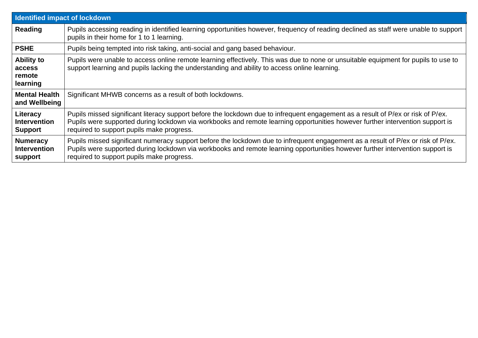| <b>Identified impact of lockdown</b>              |                                                                                                                                                                                                                                                                                                                |  |  |  |
|---------------------------------------------------|----------------------------------------------------------------------------------------------------------------------------------------------------------------------------------------------------------------------------------------------------------------------------------------------------------------|--|--|--|
| Reading                                           | Pupils accessing reading in identified learning opportunities however, frequency of reading declined as staff were unable to support<br>pupils in their home for 1 to 1 learning.                                                                                                                              |  |  |  |
| <b>PSHE</b>                                       | Pupils being tempted into risk taking, anti-social and gang based behaviour.                                                                                                                                                                                                                                   |  |  |  |
| <b>Ability to</b><br>access<br>remote<br>learning | Pupils were unable to access online remote learning effectively. This was due to none or unsuitable equipment for pupils to use to<br>support learning and pupils lacking the understanding and ability to access online learning.                                                                             |  |  |  |
| <b>Mental Health</b><br>and Wellbeing             | Significant MHWB concerns as a result of both lockdowns.                                                                                                                                                                                                                                                       |  |  |  |
| Literacy<br><b>Intervention</b><br><b>Support</b> | Pupils missed significant literacy support before the lockdown due to infrequent engagement as a result of P/ex or risk of P/ex.<br>Pupils were supported during lockdown via workbooks and remote learning opportunities however further intervention support is<br>required to support pupils make progress. |  |  |  |
| <b>Numeracy</b><br><b>Intervention</b><br>support | Pupils missed significant numeracy support before the lockdown due to infrequent engagement as a result of P/ex or risk of P/ex.<br>Pupils were supported during lockdown via workbooks and remote learning opportunities however further intervention support is<br>required to support pupils make progress. |  |  |  |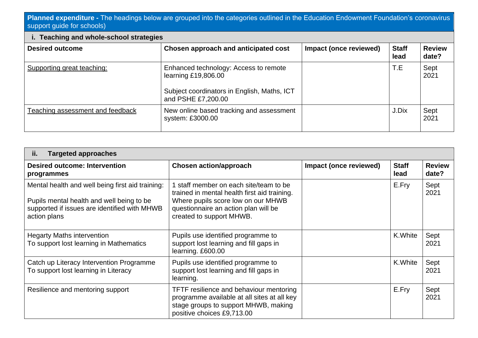## **Planned expenditure -** The headings below are grouped into the categories outlined in the Education Endowment Foundation's coronavirus support guide for schools)

| <b>Teaching and whole-school strategies</b><br>ι. |                                                                                                                                   |                        |                      |                        |  |
|---------------------------------------------------|-----------------------------------------------------------------------------------------------------------------------------------|------------------------|----------------------|------------------------|--|
| <b>Desired outcome</b>                            | Chosen approach and anticipated cost                                                                                              | Impact (once reviewed) | <b>Staff</b><br>lead | <b>Review</b><br>date? |  |
| Supporting great teaching:                        | Enhanced technology: Access to remote<br>learning £19,806.00<br>Subject coordinators in English, Maths, ICT<br>and PSHE £7,200.00 |                        | T.E                  | Sept<br>2021           |  |
| Teaching assessment and feedback                  | New online based tracking and assessment<br>system: £3000.00                                                                      |                        | J.Dix                | Sept<br>2021           |  |

| <b>Targeted approaches</b><br>ij.                                                                                                                             |                                                                                                                                                                                                |                        |                      |                        |  |  |
|---------------------------------------------------------------------------------------------------------------------------------------------------------------|------------------------------------------------------------------------------------------------------------------------------------------------------------------------------------------------|------------------------|----------------------|------------------------|--|--|
| <b>Desired outcome: Intervention</b><br>programmes                                                                                                            | <b>Chosen action/approach</b>                                                                                                                                                                  | Impact (once reviewed) | <b>Staff</b><br>lead | <b>Review</b><br>date? |  |  |
| Mental health and well being first aid training:<br>Pupils mental health and well being to be<br>supported if issues are identified with MHWB<br>action plans | staff member on each site/team to be<br>trained in mental health first aid training.<br>Where pupils score low on our MHWB<br>questionnaire an action plan will be<br>created to support MHWB. |                        | E.Fry                | Sept<br>2021           |  |  |
| <b>Hegarty Maths intervention</b><br>To support lost learning in Mathematics                                                                                  | Pupils use identified programme to<br>support lost learning and fill gaps in<br>learning. £600.00                                                                                              |                        | K.White              | Sept<br>2021           |  |  |
| Catch up Literacy Intervention Programme<br>To support lost learning in Literacy                                                                              | Pupils use identified programme to<br>support lost learning and fill gaps in<br>learning.                                                                                                      |                        | K.White              | Sept<br>2021           |  |  |
| Resilience and mentoring support                                                                                                                              | TFTF resilience and behaviour mentoring<br>programme available at all sites at all key<br>stage groups to support MHWB, making<br>positive choices £9,713.00                                   |                        | E.Fry                | Sept<br>2021           |  |  |